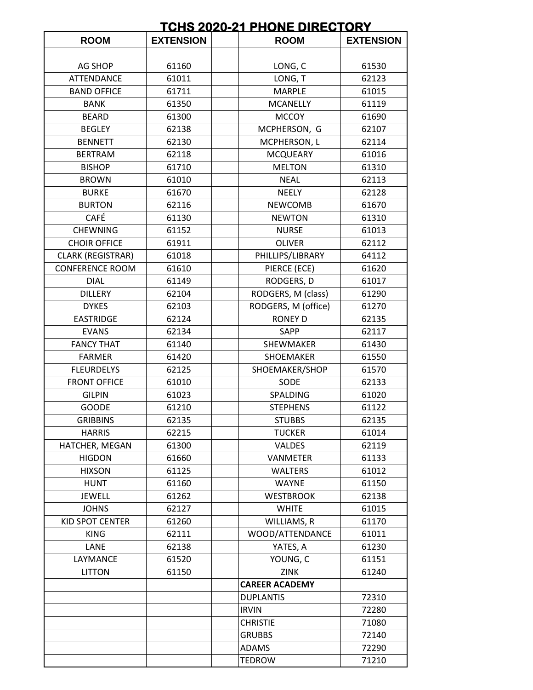## **TCHS 2020-21 PHONE DIRECTORY**

| <b>ROOM</b>              | <b>EXTENSION</b> | <b>ROOM</b>           | <b>EXTENSION</b> |
|--------------------------|------------------|-----------------------|------------------|
|                          |                  |                       |                  |
| <b>AG SHOP</b>           | 61160            | LONG, C               | 61530            |
| <b>ATTENDANCE</b>        | 61011            | LONG, T               | 62123            |
| <b>BAND OFFICE</b>       | 61711            | <b>MARPLE</b>         | 61015            |
| <b>BANK</b>              | 61350            | <b>MCANELLY</b>       | 61119            |
| <b>BEARD</b>             | 61300            | <b>MCCOY</b>          | 61690            |
| <b>BEGLEY</b>            | 62138            | MCPHERSON, G          | 62107            |
| <b>BENNETT</b>           | 62130            | MCPHERSON, L          | 62114            |
| <b>BERTRAM</b>           | 62118            | <b>MCQUEARY</b>       | 61016            |
| <b>BISHOP</b>            | 61710            | <b>MELTON</b>         | 61310            |
| <b>BROWN</b>             | 61010            | <b>NEAL</b>           | 62113            |
| <b>BURKE</b>             | 61670            | <b>NEELY</b>          | 62128            |
| <b>BURTON</b>            | 62116            | <b>NEWCOMB</b>        | 61670            |
| <b>CAFÉ</b>              | 61130            | <b>NEWTON</b>         | 61310            |
| <b>CHEWNING</b>          | 61152            | <b>NURSE</b>          | 61013            |
| <b>CHOIR OFFICE</b>      | 61911            | <b>OLIVER</b>         | 62112            |
| <b>CLARK (REGISTRAR)</b> | 61018            | PHILLIPS/LIBRARY      | 64112            |
| <b>CONFERENCE ROOM</b>   | 61610            | PIERCE (ECE)          | 61620            |
| <b>DIAL</b>              | 61149            | RODGERS, D            | 61017            |
| <b>DILLERY</b>           | 62104            | RODGERS, M (class)    | 61290            |
| <b>DYKES</b>             | 62103            | RODGERS, M (office)   | 61270            |
| <b>EASTRIDGE</b>         | 62124            | <b>RONEY D</b>        | 62135            |
| <b>EVANS</b>             | 62134            | <b>SAPP</b>           | 62117            |
| <b>FANCY THAT</b>        | 61140            | SHEWMAKER             | 61430            |
| <b>FARMER</b>            | 61420            | SHOEMAKER             | 61550            |
| <b>FLEURDELYS</b>        | 62125            | SHOEMAKER/SHOP        | 61570            |
| <b>FRONT OFFICE</b>      | 61010            | SODE                  | 62133            |
| <b>GILPIN</b>            | 61023            | SPALDING              | 61020            |
| <b>GOODE</b>             | 61210            | <b>STEPHENS</b>       | 61122            |
| <b>GRIBBINS</b>          | 62135            | <b>STUBBS</b>         | 62135            |
| <b>HARRIS</b>            | 62215            | <b>TUCKER</b>         | 61014            |
| HATCHER, MEGAN           | 61300            | <b>VALDES</b>         | 62119            |
| <b>HIGDON</b>            | 61660            | <b>VANMETER</b>       | 61133            |
| <b>HIXSON</b>            | 61125            | <b>WALTERS</b>        | 61012            |
| <b>HUNT</b>              | 61160            | <b>WAYNE</b>          | 61150            |
| <b>JEWELL</b>            | 61262            | <b>WESTBROOK</b>      | 62138            |
| <b>JOHNS</b>             | 62127            | <b>WHITE</b>          | 61015            |
| KID SPOT CENTER          | 61260            | WILLIAMS, R           | 61170            |
| <b>KING</b>              | 62111            | WOOD/ATTENDANCE       | 61011            |
| LANE                     | 62138            | YATES, A              | 61230            |
| LAYMANCE                 | 61520            | YOUNG, C              | 61151            |
| <b>LITTON</b>            | 61150            | <b>ZINK</b>           | 61240            |
|                          |                  | <b>CAREER ACADEMY</b> |                  |
|                          |                  | <b>DUPLANTIS</b>      | 72310            |
|                          |                  | <b>IRVIN</b>          | 72280            |
|                          |                  | <b>CHRISTIE</b>       | 71080            |
|                          |                  | <b>GRUBBS</b>         | 72140            |
|                          |                  | <b>ADAMS</b>          | 72290            |
|                          |                  | <b>TEDROW</b>         | 71210            |